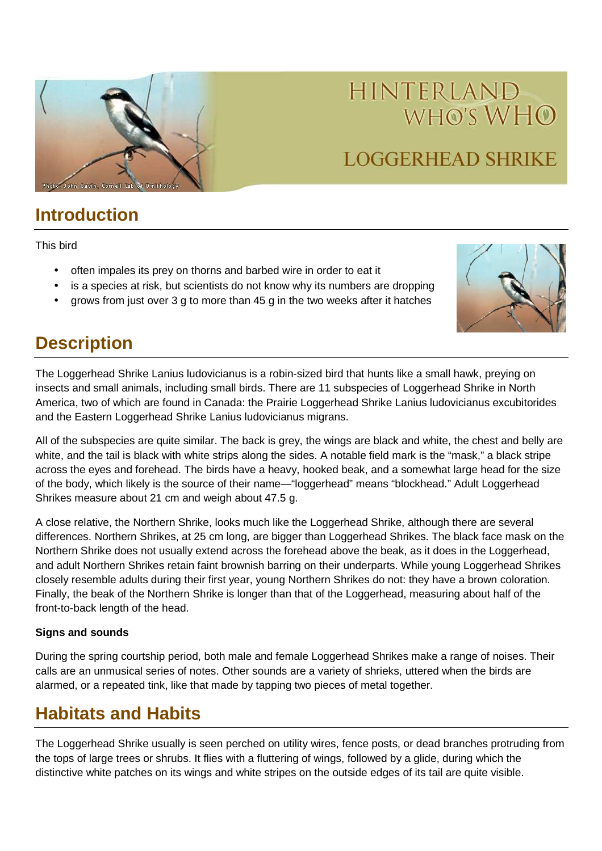

# **LOGGERHEAD SHRIKE**

### **Introduction**

This bird

- often impales its prey on thorns and barbed wire in order to eat it
- is a species at risk, but scientists do not know why its numbers are dropping
- grows from just over 3 g to more than 45 g in the two weeks after it hatches



## **Description**

The Loggerhead Shrike Lanius ludovicianus is a robin-sized bird that hunts like a small hawk, preying on insects and small animals, including small birds. There are 11 subspecies of Loggerhead Shrike in North America, two of which are found in Canada: the Prairie Loggerhead Shrike Lanius ludovicianus excubitorides and the Eastern Loggerhead Shrike Lanius ludovicianus migrans.

All of the subspecies are quite similar. The back is grey, the wings are black and white, the chest and belly are white, and the tail is black with white strips along the sides. A notable field mark is the "mask," a black stripe across the eyes and forehead. The birds have a heavy, hooked beak, and a somewhat large head for the size of the body, which likely is the source of their name—"loggerhead" means "blockhead." Adult Loggerhead Shrikes measure about 21 cm and weigh about 47.5 g.

A close relative, the Northern Shrike, looks much like the Loggerhead Shrike, although there are several differences. Northern Shrikes, at 25 cm long, are bigger than Loggerhead Shrikes. The black face mask on the Northern Shrike does not usually extend across the forehead above the beak, as it does in the Loggerhead, and adult Northern Shrikes retain faint brownish barring on their underparts. While young Loggerhead Shrikes closely resemble adults during their first year, young Northern Shrikes do not: they have a brown coloration. Finally, the beak of the Northern Shrike is longer than that of the Loggerhead, measuring about half of the front-to-back length of the head.

#### **Signs and sounds**

During the spring courtship period, both male and female Loggerhead Shrikes make a range of noises. Their calls are an unmusical series of notes. Other sounds are a variety of shrieks, uttered when the birds are alarmed, or a repeated tink, like that made by tapping two pieces of metal together.

# **Habitats and Habits**

The Loggerhead Shrike usually is seen perched on utility wires, fence posts, or dead branches protruding from the tops of large trees or shrubs. It flies with a fluttering of wings, followed by a glide, during which the distinctive white patches on its wings and white stripes on the outside edges of its tail are quite visible.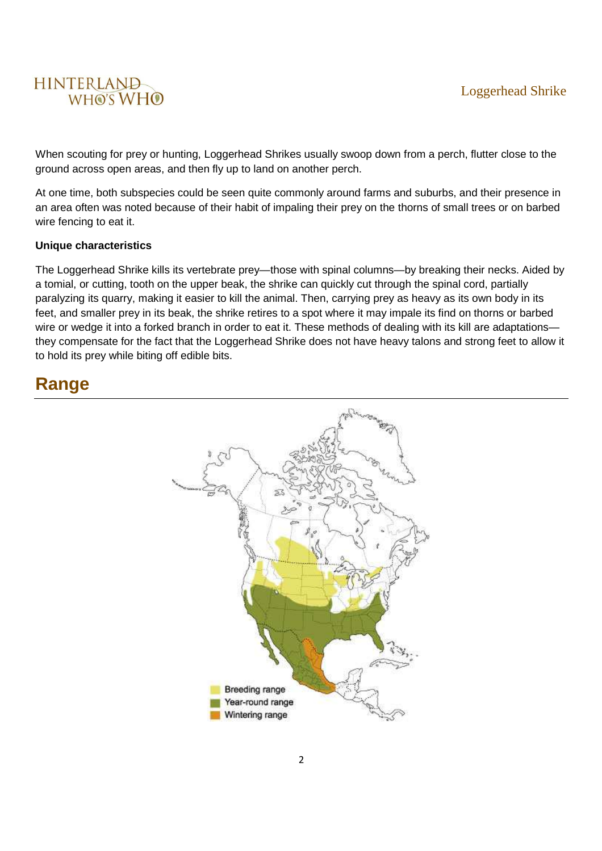

When scouting for prey or hunting, Loggerhead Shrikes usually swoop down from a perch, flutter close to the ground across open areas, and then fly up to land on another perch.

At one time, both subspecies could be seen quite commonly around farms and suburbs, and their presence in an area often was noted because of their habit of impaling their prey on the thorns of small trees or on barbed wire fencing to eat it.

#### **Unique characteristics**

The Loggerhead Shrike kills its vertebrate prey—those with spinal columns—by breaking their necks. Aided by a tomial, or cutting, tooth on the upper beak, the shrike can quickly cut through the spinal cord, partially paralyzing its quarry, making it easier to kill the animal. Then, carrying prey as heavy as its own body in its feet, and smaller prey in its beak, the shrike retires to a spot where it may impale its find on thorns or barbed wire or wedge it into a forked branch in order to eat it. These methods of dealing with its kill are adaptations they compensate for the fact that the Loggerhead Shrike does not have heavy talons and strong feet to allow it to hold its prey while biting off edible bits.

### **Range**

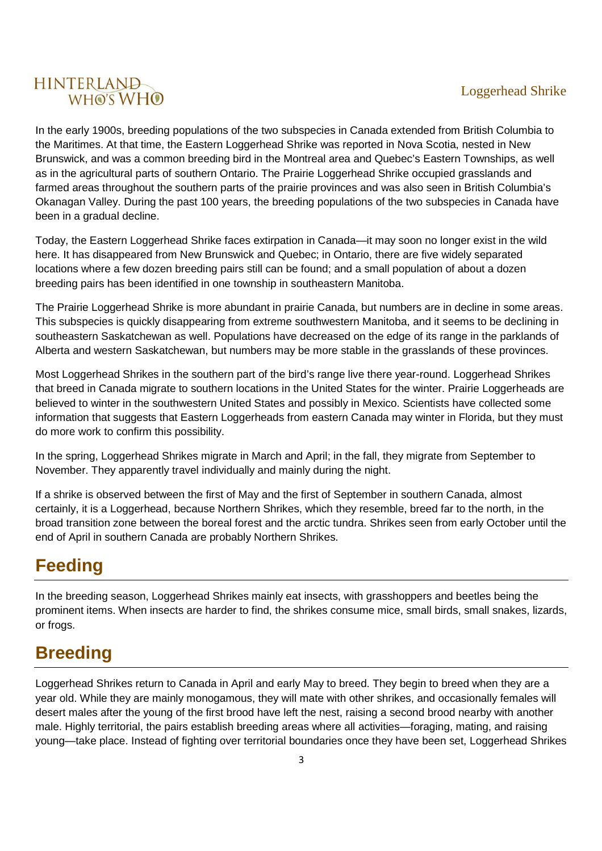In the early 1900s, breeding populations of the two subspecies in Canada extended from British Columbia to the Maritimes. At that time, the Eastern Loggerhead Shrike was reported in Nova Scotia, nested in New Brunswick, and was a common breeding bird in the Montreal area and Quebec's Eastern Townships, as well as in the agricultural parts of southern Ontario. The Prairie Loggerhead Shrike occupied grasslands and farmed areas throughout the southern parts of the prairie provinces and was also seen in British Columbia's Okanagan Valley. During the past 100 years, the breeding populations of the two subspecies in Canada have been in a gradual decline.

Today, the Eastern Loggerhead Shrike faces extirpation in Canada—it may soon no longer exist in the wild here. It has disappeared from New Brunswick and Quebec; in Ontario, there are five widely separated locations where a few dozen breeding pairs still can be found; and a small population of about a dozen breeding pairs has been identified in one township in southeastern Manitoba.

The Prairie Loggerhead Shrike is more abundant in prairie Canada, but numbers are in decline in some areas. This subspecies is quickly disappearing from extreme southwestern Manitoba, and it seems to be declining in southeastern Saskatchewan as well. Populations have decreased on the edge of its range in the parklands of Alberta and western Saskatchewan, but numbers may be more stable in the grasslands of these provinces.

Most Loggerhead Shrikes in the southern part of the bird's range live there year-round. Loggerhead Shrikes that breed in Canada migrate to southern locations in the United States for the winter. Prairie Loggerheads are believed to winter in the southwestern United States and possibly in Mexico. Scientists have collected some information that suggests that Eastern Loggerheads from eastern Canada may winter in Florida, but they must do more work to confirm this possibility.

In the spring, Loggerhead Shrikes migrate in March and April; in the fall, they migrate from September to November. They apparently travel individually and mainly during the night.

If a shrike is observed between the first of May and the first of September in southern Canada, almost certainly, it is a Loggerhead, because Northern Shrikes, which they resemble, breed far to the north, in the broad transition zone between the boreal forest and the arctic tundra. Shrikes seen from early October until the end of April in southern Canada are probably Northern Shrikes.

### **Feeding**

In the breeding season, Loggerhead Shrikes mainly eat insects, with grasshoppers and beetles being the prominent items. When insects are harder to find, the shrikes consume mice, small birds, small snakes, lizards, or frogs.

# **Breeding**

Loggerhead Shrikes return to Canada in April and early May to breed. They begin to breed when they are a year old. While they are mainly monogamous, they will mate with other shrikes, and occasionally females will desert males after the young of the first brood have left the nest, raising a second brood nearby with another male. Highly territorial, the pairs establish breeding areas where all activities—foraging, mating, and raising young—take place. Instead of fighting over territorial boundaries once they have been set, Loggerhead Shrikes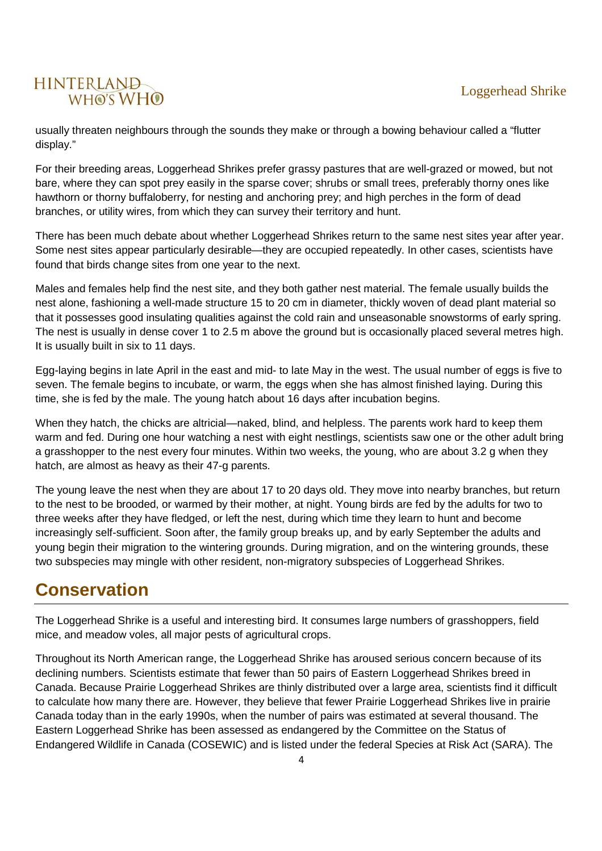usually threaten neighbours through the sounds they make or through a bowing behaviour called a "flutter display."

For their breeding areas, Loggerhead Shrikes prefer grassy pastures that are well-grazed or mowed, but not bare, where they can spot prey easily in the sparse cover; shrubs or small trees, preferably thorny ones like hawthorn or thorny buffaloberry, for nesting and anchoring prey; and high perches in the form of dead branches, or utility wires, from which they can survey their territory and hunt.

There has been much debate about whether Loggerhead Shrikes return to the same nest sites year after year. Some nest sites appear particularly desirable—they are occupied repeatedly. In other cases, scientists have found that birds change sites from one year to the next.

Males and females help find the nest site, and they both gather nest material. The female usually builds the nest alone, fashioning a well-made structure 15 to 20 cm in diameter, thickly woven of dead plant material so that it possesses good insulating qualities against the cold rain and unseasonable snowstorms of early spring. The nest is usually in dense cover 1 to 2.5 m above the ground but is occasionally placed several metres high. It is usually built in six to 11 days.

Egg-laying begins in late April in the east and mid- to late May in the west. The usual number of eggs is five to seven. The female begins to incubate, or warm, the eggs when she has almost finished laying. During this time, she is fed by the male. The young hatch about 16 days after incubation begins.

When they hatch, the chicks are altricial—naked, blind, and helpless. The parents work hard to keep them warm and fed. During one hour watching a nest with eight nestlings, scientists saw one or the other adult bring a grasshopper to the nest every four minutes. Within two weeks, the young, who are about 3.2 g when they hatch, are almost as heavy as their 47-g parents.

The young leave the nest when they are about 17 to 20 days old. They move into nearby branches, but return to the nest to be brooded, or warmed by their mother, at night. Young birds are fed by the adults for two to three weeks after they have fledged, or left the nest, during which time they learn to hunt and become increasingly self-sufficient. Soon after, the family group breaks up, and by early September the adults and young begin their migration to the wintering grounds. During migration, and on the wintering grounds, these two subspecies may mingle with other resident, non-migratory subspecies of Loggerhead Shrikes.

# **Conservation**

The Loggerhead Shrike is a useful and interesting bird. It consumes large numbers of grasshoppers, field mice, and meadow voles, all major pests of agricultural crops.

Throughout its North American range, the Loggerhead Shrike has aroused serious concern because of its declining numbers. Scientists estimate that fewer than 50 pairs of Eastern Loggerhead Shrikes breed in Canada. Because Prairie Loggerhead Shrikes are thinly distributed over a large area, scientists find it difficult to calculate how many there are. However, they believe that fewer Prairie Loggerhead Shrikes live in prairie Canada today than in the early 1990s, when the number of pairs was estimated at several thousand. The Eastern Loggerhead Shrike has been assessed as endangered by the Committee on the Status of Endangered Wildlife in Canada (COSEWIC) and is listed under the federal Species at Risk Act (SARA). The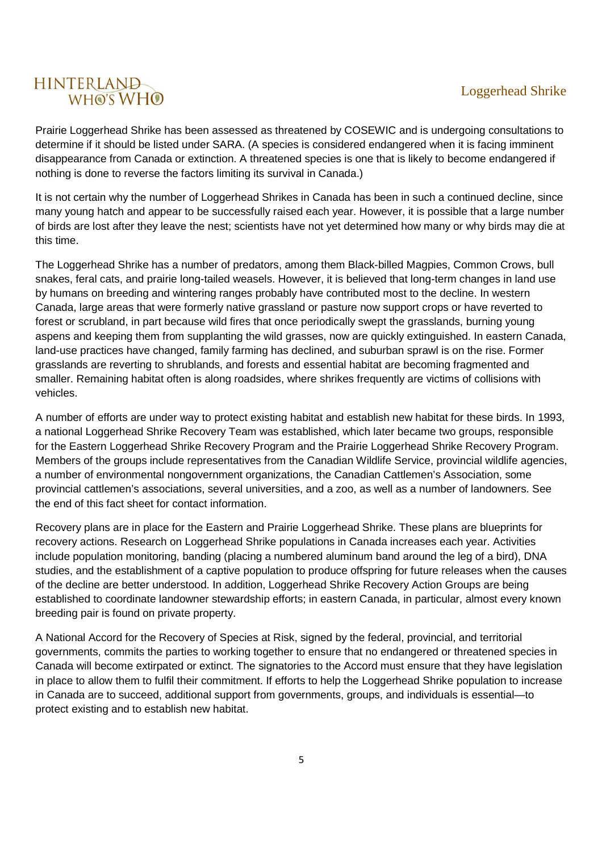Prairie Loggerhead Shrike has been assessed as threatened by COSEWIC and is undergoing consultations to determine if it should be listed under SARA. (A species is considered endangered when it is facing imminent disappearance from Canada or extinction. A threatened species is one that is likely to become endangered if nothing is done to reverse the factors limiting its survival in Canada.)

It is not certain why the number of Loggerhead Shrikes in Canada has been in such a continued decline, since many young hatch and appear to be successfully raised each year. However, it is possible that a large number of birds are lost after they leave the nest; scientists have not yet determined how many or why birds may die at this time.

The Loggerhead Shrike has a number of predators, among them Black-billed Magpies, Common Crows, bull snakes, feral cats, and prairie long-tailed weasels. However, it is believed that long-term changes in land use by humans on breeding and wintering ranges probably have contributed most to the decline. In western Canada, large areas that were formerly native grassland or pasture now support crops or have reverted to forest or scrubland, in part because wild fires that once periodically swept the grasslands, burning young aspens and keeping them from supplanting the wild grasses, now are quickly extinguished. In eastern Canada, land-use practices have changed, family farming has declined, and suburban sprawl is on the rise. Former grasslands are reverting to shrublands, and forests and essential habitat are becoming fragmented and smaller. Remaining habitat often is along roadsides, where shrikes frequently are victims of collisions with vehicles.

A number of efforts are under way to protect existing habitat and establish new habitat for these birds. In 1993, a national Loggerhead Shrike Recovery Team was established, which later became two groups, responsible for the Eastern Loggerhead Shrike Recovery Program and the Prairie Loggerhead Shrike Recovery Program. Members of the groups include representatives from the Canadian Wildlife Service, provincial wildlife agencies, a number of environmental nongovernment organizations, the Canadian Cattlemen's Association, some provincial cattlemen's associations, several universities, and a zoo, as well as a number of landowners. See the end of this fact sheet for contact information.

Recovery plans are in place for the Eastern and Prairie Loggerhead Shrike. These plans are blueprints for recovery actions. Research on Loggerhead Shrike populations in Canada increases each year. Activities include population monitoring, banding (placing a numbered aluminum band around the leg of a bird), DNA studies, and the establishment of a captive population to produce offspring for future releases when the causes of the decline are better understood. In addition, Loggerhead Shrike Recovery Action Groups are being established to coordinate landowner stewardship efforts; in eastern Canada, in particular, almost every known breeding pair is found on private property.

A National Accord for the Recovery of Species at Risk, signed by the federal, provincial, and territorial governments, commits the parties to working together to ensure that no endangered or threatened species in Canada will become extirpated or extinct. The signatories to the Accord must ensure that they have legislation in place to allow them to fulfil their commitment. If efforts to help the Loggerhead Shrike population to increase in Canada are to succeed, additional support from governments, groups, and individuals is essential—to protect existing and to establish new habitat.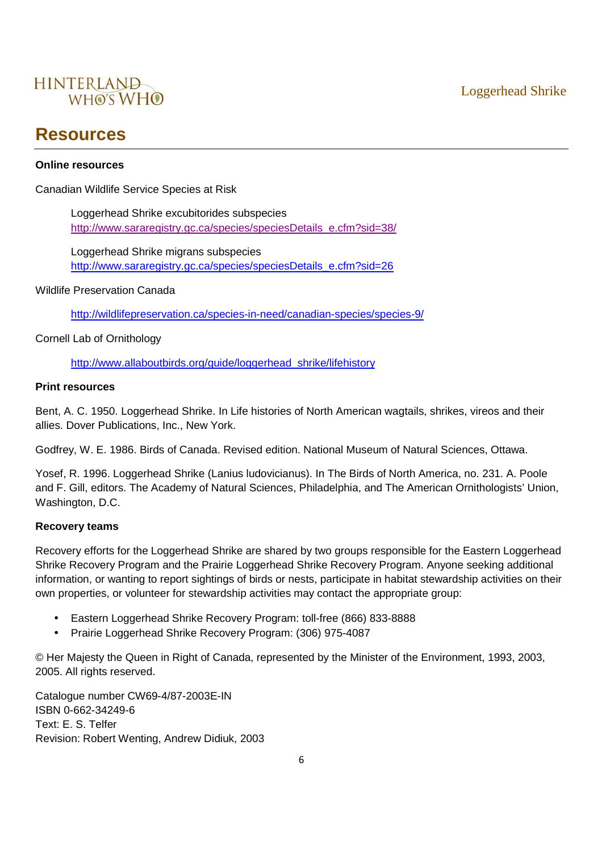

### **Resources**

#### **Online resources**

Canadian Wildlife Service Species at Risk

Loggerhead Shrike excubitorides subspecies http://www.sararegistry.gc.ca/species/speciesDetails\_e.cfm?sid=38/

Loggerhead Shrike migrans subspecies http://www.sararegistry.gc.ca/species/speciesDetails\_e.cfm?sid=26

Wildlife Preservation Canada

http://wildlifepreservation.ca/species-in-need/canadian-species/species-9/

Cornell Lab of Ornithology

http://www.allaboutbirds.org/guide/loggerhead\_shrike/lifehistory

#### **Print resources**

Bent, A. C. 1950. Loggerhead Shrike. In Life histories of North American wagtails, shrikes, vireos and their allies. Dover Publications, Inc., New York.

Godfrey, W. E. 1986. Birds of Canada. Revised edition. National Museum of Natural Sciences, Ottawa.

Yosef, R. 1996. Loggerhead Shrike (Lanius ludovicianus). In The Birds of North America, no. 231. A. Poole and F. Gill, editors. The Academy of Natural Sciences, Philadelphia, and The American Ornithologists' Union, Washington, D.C.

#### **Recovery teams**

Recovery efforts for the Loggerhead Shrike are shared by two groups responsible for the Eastern Loggerhead Shrike Recovery Program and the Prairie Loggerhead Shrike Recovery Program. Anyone seeking additional information, or wanting to report sightings of birds or nests, participate in habitat stewardship activities on their own properties, or volunteer for stewardship activities may contact the appropriate group:

- Eastern Loggerhead Shrike Recovery Program: toll-free (866) 833-8888
- Prairie Loggerhead Shrike Recovery Program: (306) 975-4087

© Her Majesty the Queen in Right of Canada, represented by the Minister of the Environment, 1993, 2003, 2005. All rights reserved.

Catalogue number CW69-4/87-2003E-IN ISBN 0-662-34249-6 Text: E. S. Telfer Revision: Robert Wenting, Andrew Didiuk, 2003